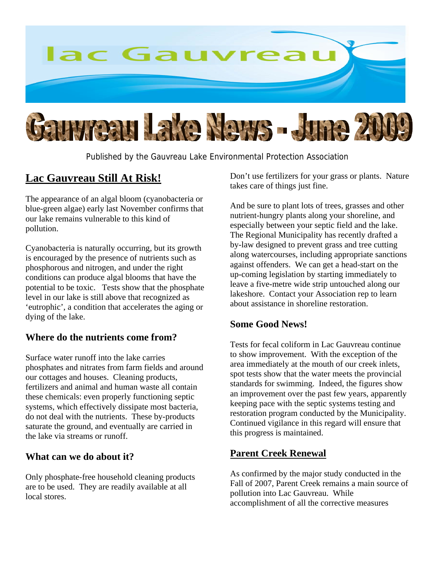

Published by the Gauvreau Lake Environmental Protection Association

## **Lac Gauvreau Still At Risk!**

The appearance of an algal bloom (cyanobacteria or blue-green algae) early last November confirms that our lake remains vulnerable to this kind of pollution.

Cyanobacteria is naturally occurring, but its growth is encouraged by the presence of nutrients such as phosphorous and nitrogen, and under the right conditions can produce algal blooms that have the potential to be toxic. Tests show that the phosphate level in our lake is still above that recognized as 'eutrophic', a condition that accelerates the aging or dying of the lake.

## **Where do the nutrients come from?**

Surface water runoff into the lake carries phosphates and nitrates from farm fields and around our cottages and houses. Cleaning products, fertilizers and animal and human waste all contain these chemicals: even properly functioning septic systems, which effectively dissipate most bacteria, do not deal with the nutrients. These by-products saturate the ground, and eventually are carried in the lake via streams or runoff.

## **What can we do about it?**

Only phosphate-free household cleaning products are to be used. They are readily available at all local stores.

Don't use fertilizers for your grass or plants. Nature takes care of things just fine.

And be sure to plant lots of trees, grasses and other nutrient-hungry plants along your shoreline, and especially between your septic field and the lake. The Regional Municipality has recently drafted a by-law designed to prevent grass and tree cutting along watercourses, including appropriate sanctions against offenders. We can get a head-start on the up-coming legislation by starting immediately to leave a five-metre wide strip untouched along our lakeshore. Contact your Association rep to learn about assistance in shoreline restoration.

#### **Some Good News!**

Tests for fecal coliform in Lac Gauvreau continue to show improvement. With the exception of the area immediately at the mouth of our creek inlets, spot tests show that the water meets the provincial standards for swimming. Indeed, the figures show an improvement over the past few years, apparently keeping pace with the septic systems testing and restoration program conducted by the Municipality. Continued vigilance in this regard will ensure that this progress is maintained.

## **Parent Creek Renewal**

As confirmed by the major study conducted in the Fall of 2007, Parent Creek remains a main source of pollution into Lac Gauvreau. While accomplishment of all the corrective measures